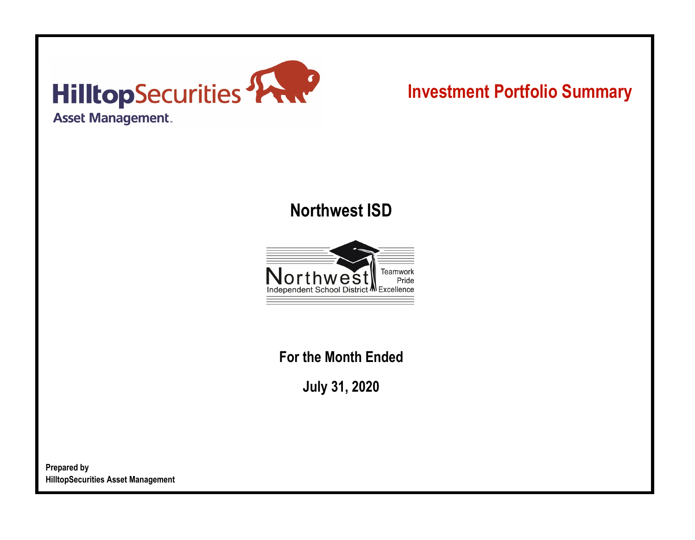

# **Investment Portfolio Summary**

## **Northwest ISD**



**For the Month Ended**

**July 31, 2020**

**Prepared by HilltopSecurities Asset Management**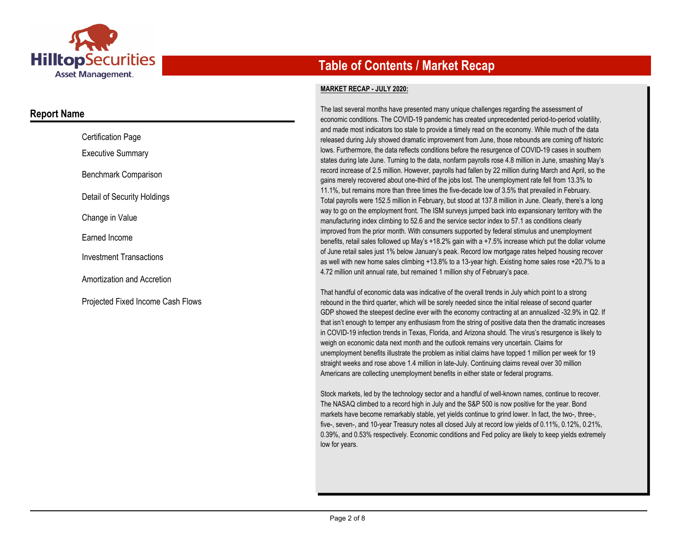

### **Report Name**

| <b>Certification Page</b>         |
|-----------------------------------|
| <b>Executive Summary</b>          |
| Benchmark Comparison              |
| Detail of Security Holdings       |
| Change in Value                   |
| Earned Income                     |
| <b>Investment Transactions</b>    |
| Amortization and Accretion        |
| Proiected Fixed Income Cash Flows |

## **Table of Contents / Market Recap**

#### **MARKET RECAP - JULY 2020:**

The last several months have presented many unique challenges regarding the assessment of economic conditions. The COVID-19 pandemic has created unprecedented period-to-period volatility, and made most indicators too stale to provide a timely read on the economy. While much of the data released during July showed dramatic improvement from June, those rebounds are coming off historic lows. Furthermore, the data reflects conditions before the resurgence of COVID-19 cases in southern states during late June. Turning to the data, nonfarm payrolls rose 4.8 million in June, smashing May's record increase of 2.5 million. However, payrolls had fallen by 22 million during March and April, so the gains merely recovered about one-third of the jobs lost. The unemployment rate fell from 13.3% to 11.1%, but remains more than three times the five-decade low of 3.5% that prevailed in February. Total payrolls were 152.5 million in February, but stood at 137.8 million in June. Clearly, there's a long way to go on the employment front. The ISM surveys jumped back into expansionary territory with the manufacturing index climbing to 52.6 and the service sector index to 57.1 as conditions clearly improved from the prior month. With consumers supported by federal stimulus and unemployment benefits, retail sales followed up May's +18.2% gain with a +7.5% increase which put the dollar volume of June retail sales just 1% below January's peak. Record low mortgage rates helped housing recover as well with new home sales climbing +13.8% to a 13-year high. Existing home sales rose +20.7% to a 4.72 million unit annual rate, but remained 1 million shy of February's pace.

That handful of economic data was indicative of the overall trends in July which point to a strong rebound in the third quarter, which will be sorely needed since the initial release of second quarter GDP showed the steepest decline ever with the economy contracting at an annualized -32.9% in Q2. If that isn't enough to temper any enthusiasm from the string of positive data then the dramatic increases in COVID-19 infection trends in Texas, Florida, and Arizona should. The virus's resurgence is likely to weigh on economic data next month and the outlook remains very uncertain. Claims for unemployment benefits illustrate the problem as initial claims have topped 1 million per week for 19 straight weeks and rose above 1.4 million in late-July. Continuing claims reveal over 30 million Americans are collecting unemployment benefits in either state or federal programs.

Stock markets, led by the technology sector and a handful of well-known names, continue to recover. The NASAQ climbed to a record high in July and the S&P 500 is now positive for the year. Bond markets have become remarkably stable, yet yields continue to grind lower. In fact, the two-, three-, five-, seven-, and 10-year Treasury notes all closed July at record low yields of 0.11%, 0.12%, 0.21%, 0.39%, and 0.53% respectively. Economic conditions and Fed policy are likely to keep yields extremely low for years.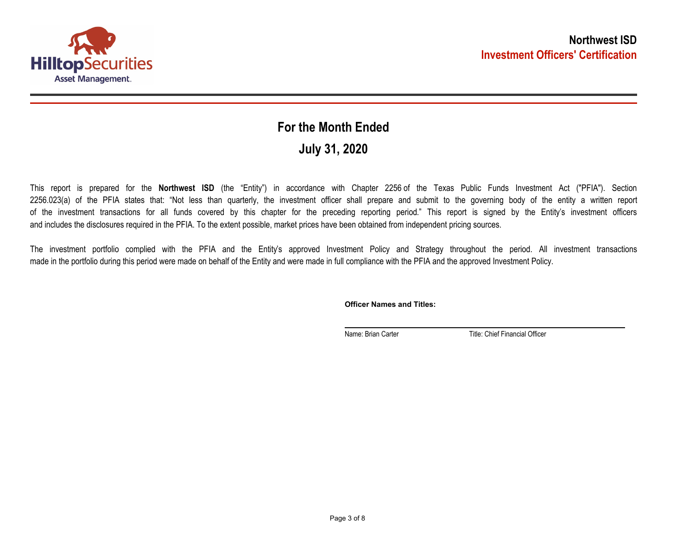

## **July 31, 2020 For the Month Ended**

This report is prepared for the **Northwest ISD** (the "Entity") in accordance with Chapter 2256 of the Texas Public Funds Investment Act ("PFIA"). Section 2256.023(a) of the PFIA states that: "Not less than quarterly, the investment officer shall prepare and submit to the governing body of the entity a written report of the investment transactions for all funds covered by this chapter for the preceding reporting period." This report is signed by the Entity's investment officers and includes the disclosures required in the PFIA. To the extent possible, market prices have been obtained from independent pricing sources.

The investment portfolio complied with the PFIA and the Entity's approved Investment Policy and Strategy throughout the period. All investment transactions made in the portfolio during this period were made on behalf of the Entity and were made in full compliance with the PFIA and the approved Investment Policy.

**Officer Names and Titles:**

Name: Brian Carter Title: Chief Financial Officer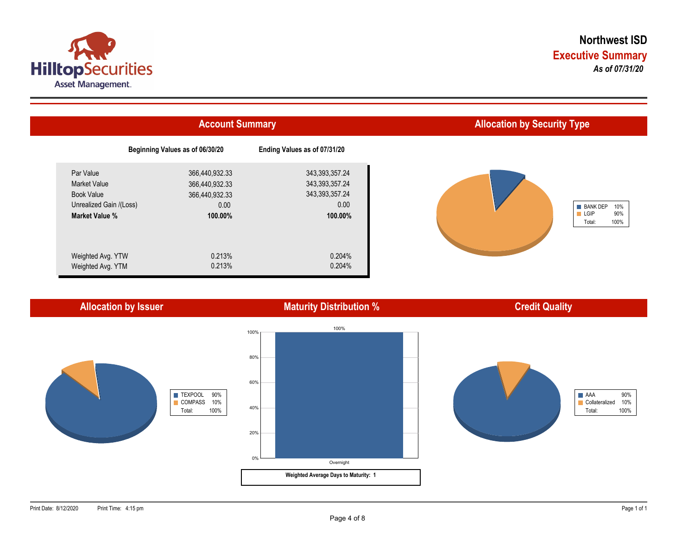



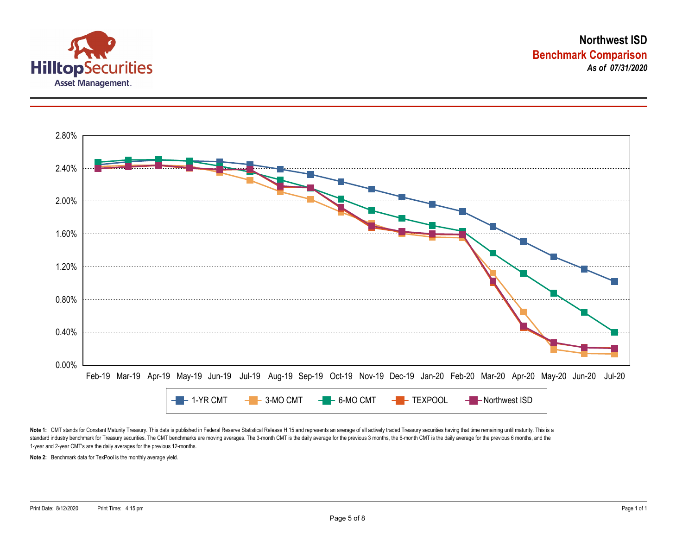



Note 1: CMT stands for Constant Maturity Treasury. This data is published in Federal Reserve Statistical Release H.15 and represents an average of all actively traded Treasury securities having that time remaining until ma standard industry benchmark for Treasury securities. The CMT benchmarks are moving averages. The 3-month CMT is the daily average for the previous 3 months, the 6-month CMT is the daily average for the previous 6 months, a 1-year and 2-year CMT's are the daily averages for the previous 12-months.

**Note 2:** Benchmark data for TexPool is the monthly average yield.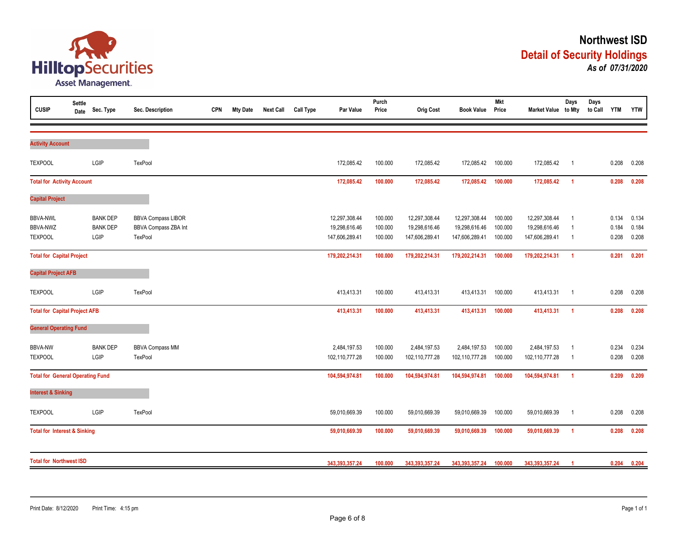

| <b>CUSIP</b>                                         | <b>Settle</b><br>Date                                                                                                                                                                                                                                                                                                                                                                                            | Sec. Type                                  | Sec. Description                                             | <b>CPN</b> | <b>Mty Date</b> | <b>Next Call</b> | <b>Call Type</b> | Par Value                                        | Purch<br>Price                | <b>Orig Cost</b>                                 | <b>Book Value</b>                                | <b>Mkt</b><br>Price           | Market Value to Mty                              | Days                                                                 | Days<br>to Call | <b>YTM</b>              | <b>YTW</b>              |
|------------------------------------------------------|------------------------------------------------------------------------------------------------------------------------------------------------------------------------------------------------------------------------------------------------------------------------------------------------------------------------------------------------------------------------------------------------------------------|--------------------------------------------|--------------------------------------------------------------|------------|-----------------|------------------|------------------|--------------------------------------------------|-------------------------------|--------------------------------------------------|--------------------------------------------------|-------------------------------|--------------------------------------------------|----------------------------------------------------------------------|-----------------|-------------------------|-------------------------|
| <b>Activity Account</b>                              |                                                                                                                                                                                                                                                                                                                                                                                                                  |                                            |                                                              |            |                 |                  |                  |                                                  |                               |                                                  |                                                  |                               |                                                  |                                                                      |                 |                         |                         |
| <b>TEXPOOL</b>                                       |                                                                                                                                                                                                                                                                                                                                                                                                                  | LGIP                                       | TexPool                                                      |            |                 |                  |                  | 172,085.42                                       | 100.000                       | 172,085.42                                       | 172,085.42                                       | 100.000                       | 172,085.42                                       | $\overline{1}$                                                       |                 | 0.208                   | 0.208                   |
|                                                      |                                                                                                                                                                                                                                                                                                                                                                                                                  |                                            |                                                              |            |                 |                  |                  | 172,085.42                                       | 100.000                       | 172,085.42                                       | 172,085.42                                       | 100.000                       | 172,085.42                                       | $\overline{1}$                                                       |                 | 0.208                   | 0.208                   |
| <b>Capital Project</b>                               |                                                                                                                                                                                                                                                                                                                                                                                                                  |                                            |                                                              |            |                 |                  |                  |                                                  |                               |                                                  |                                                  |                               |                                                  |                                                                      |                 |                         |                         |
| <b>BBVA-NWL</b><br><b>BBVA-NWZ</b><br><b>TEXPOOL</b> |                                                                                                                                                                                                                                                                                                                                                                                                                  | <b>BANK DEP</b><br><b>BANK DEP</b><br>LGIP | <b>BBVA Compass LIBOR</b><br>BBVA Compass ZBA Int<br>TexPool |            |                 |                  |                  | 12,297,308.44<br>19,298,616.46<br>147,606,289.41 | 100.000<br>100.000<br>100.000 | 12,297,308.44<br>19,298,616.46<br>147,606,289.41 | 12,297,308.44<br>19,298,616.46<br>147,606,289.41 | 100.000<br>100.000<br>100.000 | 12,297,308.44<br>19,298,616.46<br>147,606,289.41 | $\overline{\mathbf{1}}$<br>$\overline{1}$<br>$\overline{\mathbf{1}}$ |                 | 0.134<br>0.184<br>0.208 | 0.134<br>0.184<br>0.208 |
|                                                      | <b>Total for Activity Account</b><br><b>Total for Capital Project</b><br><b>Capital Project AFB</b><br>LGIP<br>TexPool<br><b>Total for Capital Project AFB</b><br><b>General Operating Fund</b><br><b>BANK DEP</b><br><b>BBVA Compass MM</b><br>LGIP<br>TexPool<br><b>Total for General Operating Fund</b><br><b>Interest &amp; Sinking</b><br>LGIP<br><b>TexPool</b><br><b>Total for Interest &amp; Sinking</b> |                                            |                                                              |            |                 | 179,202,214.31   | 100.000          | 179,202,214.31                                   | 179,202,214.31                | 100.000                                          | 179,202,214.31                                   | $\overline{1}$                |                                                  | 0.201                                                                | 0.201           |                         |                         |
|                                                      |                                                                                                                                                                                                                                                                                                                                                                                                                  |                                            |                                                              |            |                 |                  |                  |                                                  |                               |                                                  |                                                  |                               |                                                  |                                                                      |                 |                         |                         |
| <b>TEXPOOL</b>                                       |                                                                                                                                                                                                                                                                                                                                                                                                                  |                                            |                                                              |            |                 |                  |                  | 413,413.31                                       | 100.000                       | 413,413.31                                       | 413,413.31                                       | 100.000                       | 413,413.31                                       | $\overline{1}$                                                       |                 | 0.208                   | 0.208                   |
|                                                      |                                                                                                                                                                                                                                                                                                                                                                                                                  |                                            |                                                              |            |                 |                  |                  | 413,413.31                                       | 100.000                       | 413,413.31                                       | 413,413.31                                       | 100.000                       | 413,413.31                                       | $\overline{1}$                                                       |                 | 0.208                   | 0.208                   |
|                                                      |                                                                                                                                                                                                                                                                                                                                                                                                                  |                                            |                                                              |            |                 |                  |                  |                                                  |                               |                                                  |                                                  |                               |                                                  |                                                                      |                 |                         |                         |
| <b>BBVA-NW</b><br><b>TEXPOOL</b>                     |                                                                                                                                                                                                                                                                                                                                                                                                                  |                                            |                                                              |            |                 |                  |                  | 2,484,197.53<br>102,110,777.28                   | 100.000<br>100.000            | 2,484,197.53<br>102,110,777.28                   | 2,484,197.53<br>102,110,777.28                   | 100.000<br>100.000            | 2,484,197.53<br>102,110,777.28                   | $\overline{\mathbf{1}}$<br>- 1                                       |                 | 0.234<br>0.208          | 0.234<br>0.208          |
|                                                      |                                                                                                                                                                                                                                                                                                                                                                                                                  |                                            |                                                              |            |                 |                  |                  | 104,594,974.81                                   | 100.000                       | 104,594,974.81                                   | 104,594,974.81                                   | 100.000                       | 104,594,974.81                                   | $\overline{1}$                                                       |                 | 0.209                   | 0.209                   |
|                                                      |                                                                                                                                                                                                                                                                                                                                                                                                                  |                                            |                                                              |            |                 |                  |                  |                                                  |                               |                                                  |                                                  |                               |                                                  |                                                                      |                 |                         |                         |
| <b>TEXPOOL</b>                                       |                                                                                                                                                                                                                                                                                                                                                                                                                  |                                            |                                                              |            |                 |                  |                  | 59,010,669.39                                    | 100.000                       | 59,010,669.39                                    | 59,010,669.39                                    | 100.000                       | 59,010,669.39                                    | $\overline{\mathbf{1}}$                                              |                 | 0.208                   | 0.208                   |
|                                                      |                                                                                                                                                                                                                                                                                                                                                                                                                  |                                            |                                                              |            |                 |                  |                  | 59,010,669.39                                    | 100.000                       | 59,010,669.39                                    | 59,010,669.39                                    | 100.000                       | 59,010,669.39                                    | $\overline{1}$                                                       |                 | 0.208                   | 0.208                   |
| <b>Total for Northwest ISD</b>                       |                                                                                                                                                                                                                                                                                                                                                                                                                  |                                            |                                                              |            |                 | 343,393,357.24   | 100.000          | 343,393,357.24                                   | 343,393,357.24                | 100.000                                          | 343,393,357.24                                   | -1                            |                                                  | 0.204                                                                | 0.204           |                         |                         |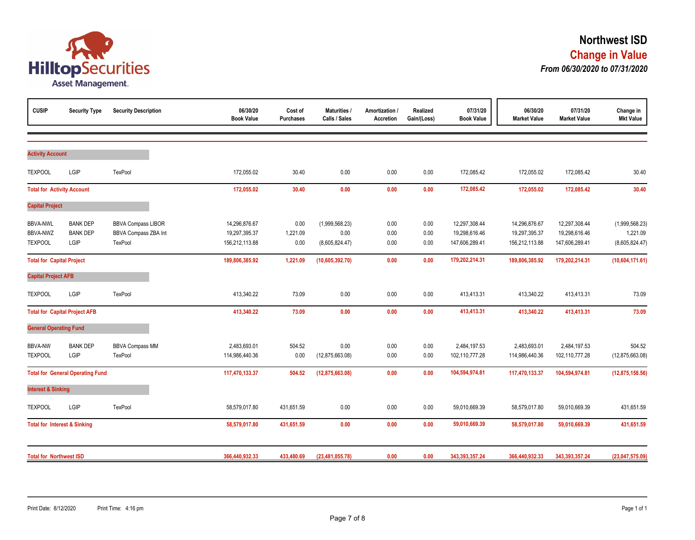

| <b>CUSIP</b>                                  | <b>Security Type</b>                       | <b>Security Description</b>                                         | 06/30/20<br><b>Book Value</b>                    | Cost of<br><b>Purchases</b> | Maturities /<br>Calls / Sales            | Amortization /<br><b>Accretion</b> | Realized<br>Gain/(Loss) | 07/31/20<br><b>Book Value</b>                    | 06/30/20<br><b>Market Value</b>                  | 07/31/20<br><b>Market Value</b>                  | Change in<br><b>Mkt Value</b>                |
|-----------------------------------------------|--------------------------------------------|---------------------------------------------------------------------|--------------------------------------------------|-----------------------------|------------------------------------------|------------------------------------|-------------------------|--------------------------------------------------|--------------------------------------------------|--------------------------------------------------|----------------------------------------------|
|                                               |                                            |                                                                     |                                                  |                             |                                          |                                    |                         |                                                  |                                                  |                                                  |                                              |
| <b>Activity Account</b>                       |                                            |                                                                     |                                                  |                             |                                          |                                    |                         |                                                  |                                                  |                                                  |                                              |
| <b>TEXPOOL</b>                                | LGIP                                       | TexPool                                                             | 172,055.02                                       | 30.40                       | 0.00                                     | 0.00                               | 0.00                    | 172,085.42                                       | 172,055.02                                       | 172,085.42                                       | 30.40                                        |
| <b>Total for Activity Account</b>             |                                            |                                                                     | 172,055.02                                       | 30.40                       | 0.00                                     | 0.00                               | 0.00                    | 172,085.42                                       | 172,055.02                                       | 172,085.42                                       | 30.40                                        |
| <b>Capital Project</b>                        |                                            |                                                                     |                                                  |                             |                                          |                                    |                         |                                                  |                                                  |                                                  |                                              |
| <b>BBVA-NWL</b><br>BBVA-NWZ<br><b>TEXPOOL</b> | <b>BANK DEP</b><br><b>BANK DEP</b><br>LGIP | <b>BBVA Compass LIBOR</b><br><b>BBVA Compass ZBA Int</b><br>TexPool | 14,296,876.67<br>19,297,395.37<br>156,212,113.88 | 0.00<br>1,221.09<br>0.00    | (1,999,568.23)<br>0.00<br>(8,605,824.47) | 0.00<br>0.00<br>0.00               | 0.00<br>0.00<br>0.00    | 12,297,308.44<br>19,298,616.46<br>147,606,289.41 | 14,296,876.67<br>19,297,395.37<br>156,212,113.88 | 12,297,308.44<br>19,298,616.46<br>147,606,289.41 | (1,999,568.23)<br>1,221.09<br>(8,605,824.47) |
| <b>Total for Capital Project</b>              |                                            |                                                                     | 189,806,385.92                                   | 1,221.09                    | (10,605,392.70)                          | 0.00                               | 0.00                    | 179,202,214.31                                   | 189,806,385.92                                   | 179,202,214.31                                   | (10,604,171.61)                              |
| <b>Capital Project AFB</b>                    |                                            |                                                                     |                                                  |                             |                                          |                                    |                         |                                                  |                                                  |                                                  |                                              |
| <b>TEXPOOL</b>                                | LGIP                                       | TexPool                                                             | 413,340.22                                       | 73.09                       | 0.00                                     | 0.00                               | 0.00                    | 413,413.31                                       | 413,340.22                                       | 413,413.31                                       | 73.09                                        |
|                                               | <b>Total for Capital Project AFB</b>       |                                                                     | 413,340.22                                       | 73.09                       | 0.00                                     | 0.00                               | 0.00                    | 413,413.31                                       | 413,340.22                                       | 413,413.31                                       | 73.09                                        |
| <b>General Operating Fund</b>                 |                                            |                                                                     |                                                  |                             |                                          |                                    |                         |                                                  |                                                  |                                                  |                                              |
| <b>BBVA-NW</b><br><b>TEXPOOL</b>              | <b>BANK DEP</b><br>LGIP                    | <b>BBVA Compass MM</b><br>TexPool                                   | 2,483,693.01<br>114,986,440.36                   | 504.52<br>0.00              | 0.00<br>(12, 875, 663.08)                | 0.00<br>0.00                       | 0.00<br>0.00            | 2,484,197.53<br>102,110,777.28                   | 2,483,693.01<br>114,986,440.36                   | 2,484,197.53<br>102,110,777.28                   | 504.52<br>(12,875,663.08)                    |
|                                               | <b>Total for General Operating Fund</b>    |                                                                     | 117,470,133.37                                   | 504.52                      | (12, 875, 663.08)                        | 0.00                               | 0.00                    | 104,594,974.81                                   | 117,470,133.37                                   | 104,594,974.81                                   | (12, 875, 158.56)                            |
| <b>Interest &amp; Sinking</b>                 |                                            |                                                                     |                                                  |                             |                                          |                                    |                         |                                                  |                                                  |                                                  |                                              |
| <b>TEXPOOL</b>                                | LGIP                                       | TexPool                                                             | 58,579,017.80                                    | 431,651.59                  | 0.00                                     | 0.00                               | 0.00                    | 59,010,669.39                                    | 58,579,017.80                                    | 59,010,669.39                                    | 431,651.59                                   |
| <b>Total for Interest &amp; Sinking</b>       |                                            |                                                                     | 58,579,017.80                                    | 431,651.59                  | 0.00                                     | 0.00                               | 0.00                    | 59,010,669.39                                    | 58,579,017.80                                    | 59,010,669.39                                    | 431,651.59                                   |
| <b>Total for Northwest ISD</b>                |                                            |                                                                     | 366,440,932.33                                   | 433,480.69                  | (23, 481, 055.78)                        | 0.00                               | 0.00                    | 343,393,357.24                                   | 366,440,932.33                                   | 343,393,357.24                                   | (23,047,575.09)                              |